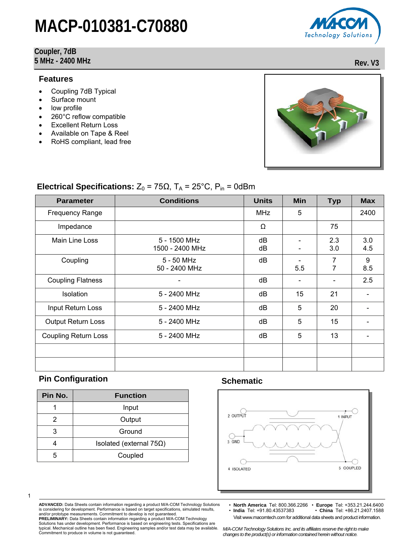#### **Coupler, 7dB 5 MHz - 2400 MHz Rev. V3**

#### **Features**

- Coupling 7dB Typical
- Surface mount
- low profile
- 260°C reflow compatible
- **Excellent Return Loss**
- Available on Tape & Reel
- RoHS compliant, lead free



### **Electrical Specifications:**  $Z_0 = 75\Omega$ ,  $T_A = 25^{\circ}$ C,  $P_{in} = 0d$ Bm

| <b>Parameter</b>            | <b>Conditions</b>               | <b>Units</b> | Min | <b>Typ</b> | <b>Max</b> |
|-----------------------------|---------------------------------|--------------|-----|------------|------------|
| <b>Frequency Range</b>      |                                 | MHz          | 5   |            | 2400       |
| Impedance                   |                                 | Ω            |     | 75         |            |
| Main Line Loss              | 5 - 1500 MHz<br>1500 - 2400 MHz | dB<br>dB     |     | 2.3<br>3.0 | 3.0<br>4.5 |
| Coupling                    | 5 - 50 MHz<br>50 - 2400 MHz     | dB           | 5.5 | 7          | 9<br>8.5   |
| <b>Coupling Flatness</b>    |                                 | dB           |     |            | 2.5        |
| Isolation                   | 5 - 2400 MHz                    | dB           | 15  | 21         |            |
| Input Return Loss           | 5 - 2400 MHz                    | dB           | 5   | 20         |            |
| <b>Output Return Loss</b>   | 5 - 2400 MHz                    | dB           | 5   | 15         |            |
| <b>Coupling Return Loss</b> | 5 - 2400 MHz                    | dB           | 5   | 13         |            |
|                             |                                 |              |     |            |            |
|                             |                                 |              |     |            |            |

## **Pin Configuration Configuration Schematic Configuration**

1

| Pin No. | <b>Function</b>            |  |
|---------|----------------------------|--|
|         | Input                      |  |
| 2       | Output                     |  |
| 3       | Ground                     |  |
|         | Isolated (external $75Ω$ ) |  |
| 5       | Coupled                    |  |



**ADVANCED:** Data Sheets contain information regarding a product M/A-COM Technology Solutions is considering for development. Performance is based on target specifications, simulated results, and/or prototype measurements. Commitment to develop is not guaranteed. **PRELIMINARY:** Data Sheets contain information regarding a product M/A-COM Technology

• **North America** Tel: 800.366.2266 • **Europe** Tel: +353.21.244.6400 • **India** Tel: +91.80.43537383 • **China** Tel: +86.21.2407.1588 Visit www.macomtech.com for additional data sheets and product information.

Solutions has under development. Performance is based on engineering tests. Specifications are typical. Mechanical outline has been fixed. Engineering samples and/or test data may be available. Commitment to produce in volume is not guaranteed.

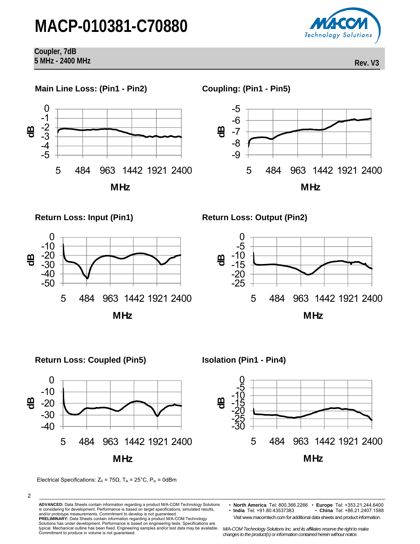

**Coupler, 7dB 5 MHz - 2400 MHz Rev. V3** 



## Return Loss: Coupled (Pin5) **ISolation (Pin1 - Pin4)**



 $-30$  $-25$ -20 -15 -10 -5ັ້ 0

 $\mathbf{\mathfrak{g}}$ 

**ADVANCED:** Data Sheets contain information regarding a product M/A-COM Technology Solutions is considering for development. Performance is based on target specifications, simulated results, and/or prototype measurements. Commitment to develop is not guaranteed.

**PRELIMINARY:** Data Sheets contain information regarding a product M/A-COM Technology Solutions has under development. Performance is based on engineering tests. Specifications are typical. Mechanical outline has been fixed. Engineering samples and/or test data may be available. Commitment to produce in volume is not guaranteed.

5 484 963 1442 1921 2400

**MHz**

Visit www.macomtech.com for additional data sheets and product information.

Electrical Specifications:  $Z_0 = 75Ω$ ,  $T_A = 25°C$ ,  $P_{in} = 0dBm$ 

<sup>2</sup> 

<sup>•</sup> **North America** Tel: 800.366.2266 • **Europe** Tel: +353.21.244.6400 • **India** Tel: +91.80.43537383 • **China** Tel: +86.21.2407.1588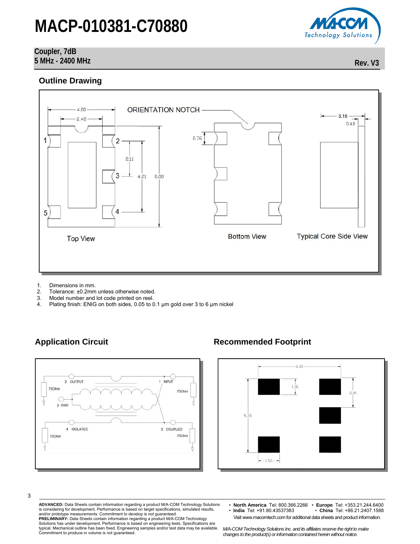### **Coupler, 7dB 5 MHz - 2400 MHz Rev. V3**

### **Outline Drawing**



- 1. Dimensions in mm.
- 2. Tolerance: ±0.2mm unless otherwise noted.<br>3. Model number and lot code printed on reel.
- Model number and lot code printed on reel.
- 4. Plating finish: ENIG on both sides, 0.05 to 0.1 µm gold over 3 to 6 µm nickel



### Application Circuit **Recommended Footprint**



**ADVANCED:** Data Sheets contain information regarding a product M/A-COM Technology Solutions is considering for development. Performance is based on target specifications, simulated results, and/or prototype measurements. Commitment to develop is not guaranteed. **PRELIMINARY:** Data Sheets contain information regarding a product M/A-COM Technology

Solutions has under development. Performance is based on engineering tests. Specifications are typical. Mechanical outline has been fixed. Engineering samples and/or test data may be available. Commitment to produce in volume is not guaranteed.

• **North America** Tel: 800.366.2266 • **Europe** Tel: +353.21.244.6400 • **India** Tel: +91.80.43537383 • **China** Tel: +86.21.2407.1588 Visit www.macomtech.com for additional data sheets and product information.